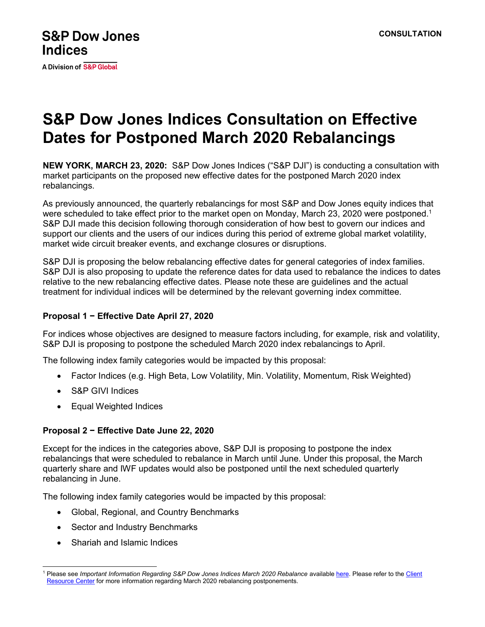A Division of S&P Global

# **S&P Dow Jones Indices Consultation on Effective Dates for Postponed March 2020 Rebalancings**

**NEW YORK, MARCH 23, 2020:** S&P Dow Jones Indices ("S&P DJI") is conducting a consultation with market participants on the proposed new effective dates for the postponed March 2020 index rebalancings.

As previously announced, the quarterly rebalancings for most S&P and Dow Jones equity indices that were scheduled to take effect prior to the market open on Monday, March 23, 2020 were postponed.<sup>1</sup> S&P DJI made this decision following thorough consideration of how best to govern our indices and support our clients and the users of our indices during this period of extreme global market volatility, market wide circuit breaker events, and exchange closures or disruptions.

S&P DJI is proposing the below rebalancing effective dates for general categories of index families. S&P DJI is also proposing to update the reference dates for data used to rebalance the indices to dates relative to the new rebalancing effective dates. Please note these are guidelines and the actual treatment for individual indices will be determined by the relevant governing index committee.

#### **Proposal 1 − Effective Date April 27, 2020**

For indices whose objectives are designed to measure factors including, for example, risk and volatility, S&P DJI is proposing to postpone the scheduled March 2020 index rebalancings to April.

The following index family categories would be impacted by this proposal:

- Factor Indices (e.g. High Beta, Low Volatility, Min. Volatility, Momentum, Risk Weighted)
- S&P GIVI Indices
- Equal Weighted Indices

#### **Proposal 2 − Effective Date June 22, 2020**

Except for the indices in the categories above, S&P DJI is proposing to postpone the index rebalancings that were scheduled to rebalance in March until June. Under this proposal, the March quarterly share and IWF updates would also be postponed until the next scheduled quarterly rebalancing in June.

The following index family categories would be impacted by this proposal:

- Global, Regional, and Country Benchmarks
- Sector and Industry Benchmarks
- Shariah and Islamic Indices

<sup>&</sup>lt;sup>1</sup> Please see Important Information Regarding S&P Dow Jones Indices March 2020 Rebalance availabl[e here.](https://us.spindices.com/documents/index-news-and-announcements/20200313-spdji-march-rebalance-postponement.pdf?force_download=true) Please refer to the Client [Resource Center](https://us.spindices.com/client-services/current-transitions) for more information regarding March 2020 rebalancing postponements.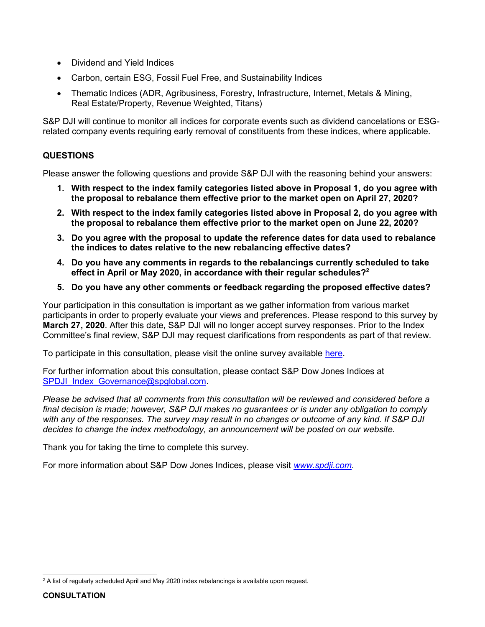- Dividend and Yield Indices
- Carbon, certain ESG, Fossil Fuel Free, and Sustainability Indices
- x Thematic Indices (ADR, Agribusiness, Forestry, Infrastructure, Internet, Metals & Mining, Real Estate/Property, Revenue Weighted, Titans)

S&P DJI will continue to monitor all indices for corporate events such as dividend cancelations or ESGrelated company events requiring early removal of constituents from these indices, where applicable.

### **QUESTIONS**

Please answer the following questions and provide S&P DJI with the reasoning behind your answers:

- **1. With respect to the index family categories listed above in Proposal 1, do you agree with the proposal to rebalance them effective prior to the market open on April 27, 2020?**
- **2. With respect to the index family categories listed above in Proposal 2, do you agree with the proposal to rebalance them effective prior to the market open on June 22, 2020?**
- **3. Do you agree with the proposal to update the reference dates for data used to rebalance the indices to dates relative to the new rebalancing effective dates?**
- **4. Do you have any comments in regards to the rebalancings currently scheduled to take effect in April or May 2020, in accordance with their regular schedules?2**
- **5. Do you have any other comments or feedback regarding the proposed effective dates?**

Your participation in this consultation is important as we gather information from various market participants in order to properly evaluate your views and preferences. Please respond to this survey by **March 27, 2020**. After this date, S&P DJI will no longer accept survey responses. Prior to the Index Committee's final review, S&P DJI may request clarifications from respondents as part of that review.

To participate in this consultation, please visit the online survey available [here.](https://us.spindices.com/governance/consultations/mr41874)

For further information about this consultation, please contact S&P Dow Jones Indices at [SPDJI\\_Index\\_Governance@spglobal.com.](mailto:SPDJI_Index_Governance@spglobal.com?subject=SPDJI%20Consultation%20on%20Effective%20Dates%20for%20Postponed%20March%202020%20Rebalancings)

*Please be advised that all comments from this consultation will be reviewed and considered before a final decision is made; however, S&P DJI makes no guarantees or is under any obligation to comply with any of the responses. The survey may result in no changes or outcome of any kind. If S&P DJI decides to change the index methodology, an announcement will be posted on our website.* 

Thank you for taking the time to complete this survey.

For more information about S&P Dow Jones Indices, please visit *[www.spdji.com.](http://www.spdji.com/)*

<sup>&</sup>lt;sup>2</sup> A list of regularly scheduled April and May 2020 index rebalancings is available upon request.